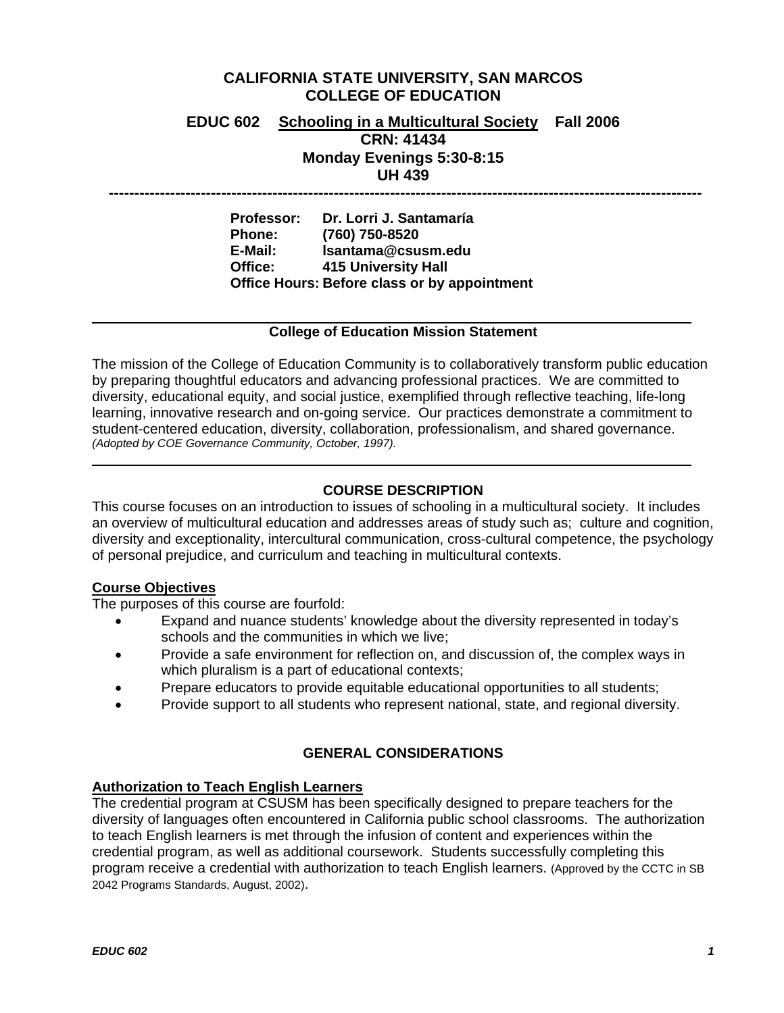### **CALIFORNIA STATE UNIVERSITY, SAN MARCOS COLLEGE OF EDUCATION**

### **EDUC 602 Schooling in a Multicultural Society Fall 2006 CRN: 41434 Monday Evenings 5:30-8:15 UH 439**

 **--------------------------------------------------------------------------------------------------------------------** 

**Professor: Dr. Lorri J. Santamaría Phone: (760) 750-8520 E-Mail: lsantama@csusm.edu Office: 415 University Hall Office Hours: Before class or by appointment** 

### **College of Education Mission Statement**

The mission of the College of Education Community is to collaboratively transform public education by preparing thoughtful educators and advancing professional practices. We are committed to diversity, educational equity, and social justice, exemplified through reflective teaching, life-long learning, innovative research and on-going service. Our practices demonstrate a commitment to student-centered education, diversity, collaboration, professionalism, and shared governance. *(Adopted by COE Governance Community, October, 1997).* 

### **COURSE DESCRIPTION**

This course focuses on an introduction to issues of schooling in a multicultural society. It includes an overview of multicultural education and addresses areas of study such as; culture and cognition, diversity and exceptionality, intercultural communication, cross-cultural competence, the psychology of personal prejudice, and curriculum and teaching in multicultural contexts.

### **Course Objectives**

The purposes of this course are fourfold:

- Expand and nuance students' knowledge about the diversity represented in today's schools and the communities in which we live;
- Provide a safe environment for reflection on, and discussion of, the complex ways in which pluralism is a part of educational contexts;
- Prepare educators to provide equitable educational opportunities to all students;
- Provide support to all students who represent national, state, and regional diversity.

### **GENERAL CONSIDERATIONS**

### **Authorization to Teach English Learners**

The credential program at CSUSM has been specifically designed to prepare teachers for the diversity of languages often encountered in California public school classrooms. The authorization to teach English learners is met through the infusion of content and experiences within the credential program, as well as additional coursework. Students successfully completing this program receive a credential with authorization to teach English learners. (Approved by the CCTC in SB 2042 Programs Standards, August, 2002).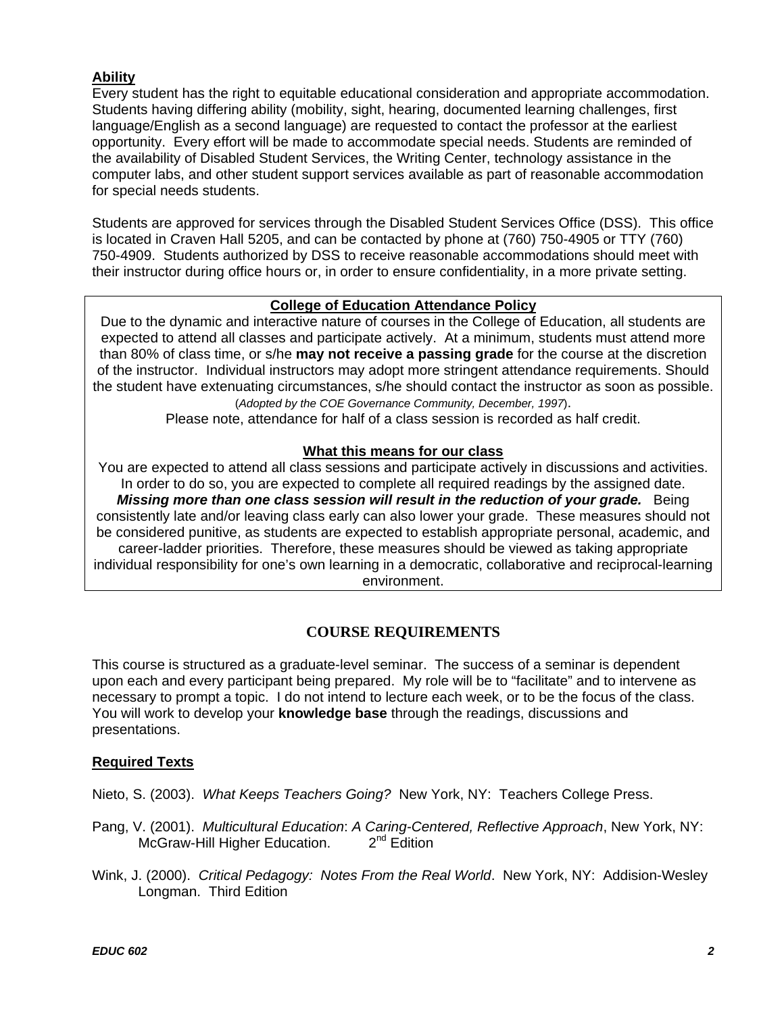### **Ability**

Every student has the right to equitable educational consideration and appropriate accommodation. Students having differing ability (mobility, sight, hearing, documented learning challenges, first language/English as a second language) are requested to contact the professor at the earliest opportunity. Every effort will be made to accommodate special needs. Students are reminded of the availability of Disabled Student Services, the Writing Center, technology assistance in the computer labs, and other student support services available as part of reasonable accommodation for special needs students.

Students are approved for services through the Disabled Student Services Office (DSS). This office is located in Craven Hall 5205, and can be contacted by phone at (760) 750-4905 or TTY (760) 750-4909. Students authorized by DSS to receive reasonable accommodations should meet with their instructor during office hours or, in order to ensure confidentiality, in a more private setting.

### **College of Education Attendance Policy**

Due to the dynamic and interactive nature of courses in the College of Education, all students are expected to attend all classes and participate actively. At a minimum, students must attend more than 80% of class time, or s/he **may not receive a passing grade** for the course at the discretion of the instructor. Individual instructors may adopt more stringent attendance requirements. Should the student have extenuating circumstances, s/he should contact the instructor as soon as possible. (*Adopted by the COE Governance Community, December, 1997*).

Please note, attendance for half of a class session is recorded as half credit.

### **What this means for our class**

You are expected to attend all class sessions and participate actively in discussions and activities. In order to do so, you are expected to complete all required readings by the assigned date. *Missing more than one class session will result in the reduction of your grade.* Being consistently late and/or leaving class early can also lower your grade. These measures should not be considered punitive, as students are expected to establish appropriate personal, academic, and career-ladder priorities. Therefore, these measures should be viewed as taking appropriate individual responsibility for one's own learning in a democratic, collaborative and reciprocal-learning environment.

### **COURSE REQUIREMENTS**

This course is structured as a graduate-level seminar. The success of a seminar is dependent upon each and every participant being prepared. My role will be to "facilitate" and to intervene as necessary to prompt a topic. I do not intend to lecture each week, or to be the focus of the class. You will work to develop your **knowledge base** through the readings, discussions and presentations.

### **Required Texts**

Nieto, S. (2003). *What Keeps Teachers Going?* New York, NY: Teachers College Press.

- Pang, V. (2001). *Multicultural Education*: *A Caring-Centered, Reflective Approach*, New York, NY: McGraw-Hill Higher Education. 2<sup>nd</sup> Edition
- Wink, J. (2000). *Critical Pedagogy: Notes From the Real World*. New York, NY: Addision-Wesley Longman. Third Edition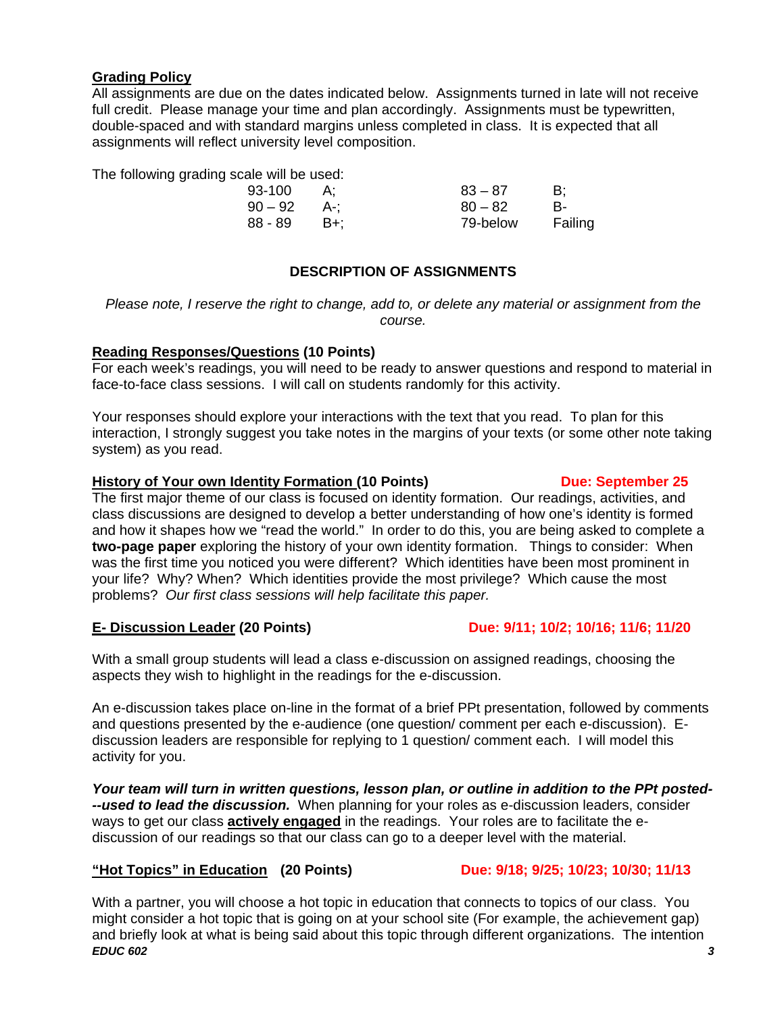### **Grading Policy**

All assignments are due on the dates indicated below. Assignments turned in late will not receive full credit. Please manage your time and plan accordingly. Assignments must be typewritten, double-spaced and with standard margins unless completed in class. It is expected that all assignments will reflect university level composition.

The following grading scale will be used:

| 93-100    |       | $83 - 87$ | B:      |
|-----------|-------|-----------|---------|
| $90 - 92$ | . A-: | $80 - 82$ | В-      |
| 88 - 89   | - B+: | 79-below  | Failing |

### **DESCRIPTION OF ASSIGNMENTS**

*Please note, I reserve the right to change, add to, or delete any material or assignment from the course.* 

### **Reading Responses/Questions (10 Points)**

For each week's readings, you will need to be ready to answer questions and respond to material in face-to-face class sessions. I will call on students randomly for this activity.

Your responses should explore your interactions with the text that you read. To plan for this interaction, I strongly suggest you take notes in the margins of your texts (or some other note taking system) as you read.

### **History of Your own Identity Formation (10 Points) Due: September 25 <b>Due: September 25**

The first major theme of our class is focused on identity formation. Our readings, activities, and class discussions are designed to develop a better understanding of how one's identity is formed and how it shapes how we "read the world." In order to do this, you are being asked to complete a **two-page paper** exploring the history of your own identity formation. Things to consider: When was the first time you noticed you were different? Which identities have been most prominent in your life? Why? When? Which identities provide the most privilege? Which cause the most problems? *Our first class sessions will help facilitate this paper.* 

### **E- Discussion Leader (20 Points) Due: 9/11; 10/2; 10/16; 11/6; 11/20**

With a small group students will lead a class e-discussion on assigned readings, choosing the aspects they wish to highlight in the readings for the e-discussion.

An e-discussion takes place on-line in the format of a brief PPt presentation, followed by comments and questions presented by the e-audience (one question/ comment per each e-discussion). Ediscussion leaders are responsible for replying to 1 question/ comment each. I will model this activity for you.

*Your team will turn in written questions, lesson plan, or outline in addition to the PPt posted- --used to lead the discussion.* When planning for your roles as e-discussion leaders, consider ways to get our class **actively engaged** in the readings. Your roles are to facilitate the ediscussion of our readings so that our class can go to a deeper level with the material.

### **"Hot Topics" in Education (20 Points) Due: 9/18; 9/25; 10/23; 10/30; 11/13**

*EDUC 602 3* With a partner, you will choose a hot topic in education that connects to topics of our class. You might consider a hot topic that is going on at your school site (For example, the achievement gap) and briefly look at what is being said about this topic through different organizations. The intention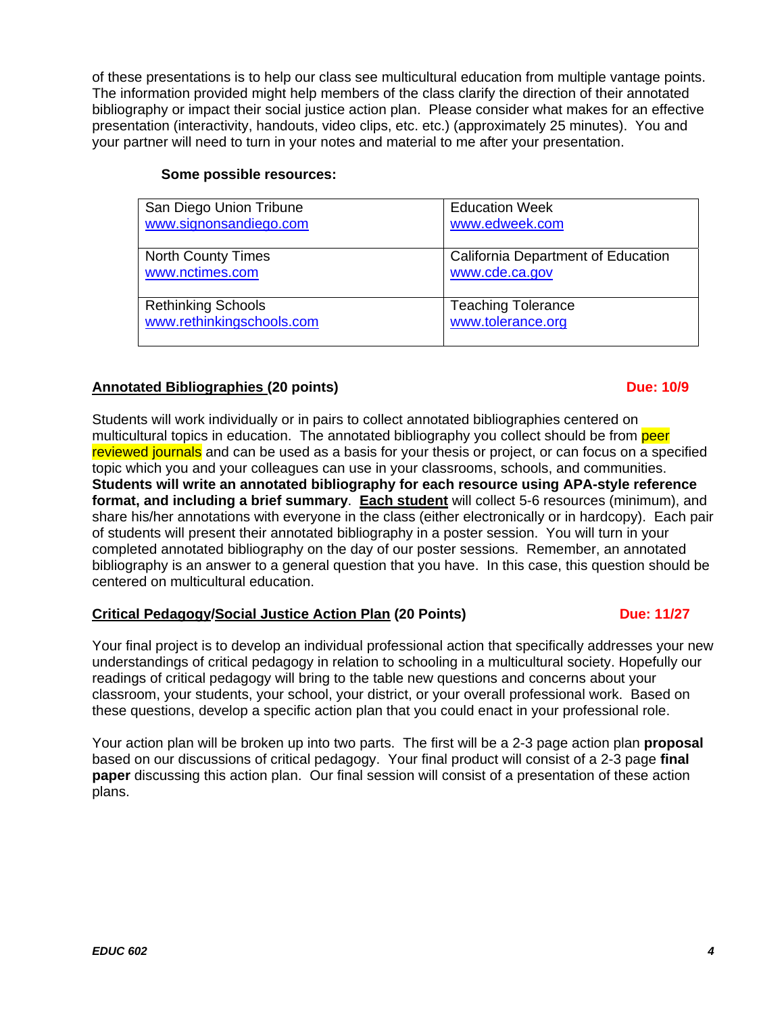of these presentations is to help our class see multicultural education from multiple vantage points. The information provided might help members of the class clarify the direction of their annotated bibliography or impact their social justice action plan. Please consider what makes for an effective presentation (interactivity, handouts, video clips, etc. etc.) (approximately 25 minutes). You and your partner will need to turn in your notes and material to me after your presentation.

| San Diego Union Tribune   | <b>Education Week</b>                     |
|---------------------------|-------------------------------------------|
| www.signonsandiego.com    | www.edweek.com                            |
| <b>North County Times</b> | <b>California Department of Education</b> |
| www.nctimes.com           | www.cde.ca.gov                            |
| <b>Rethinking Schools</b> | <b>Teaching Tolerance</b>                 |
| www.rethinkingschools.com | www.tolerance.org                         |

### **Some possible resources:**

### Annotated Bibliographies (20 points) and the contract of the contract of the contract of the contract of the contract of the contract of the contract of the contract of the contract of the contract of the contract of the c

### Students will work individually or in pairs to collect annotated bibliographies centered on multicultural topics in education. The annotated bibliography you collect should be from peer reviewed journals and can be used as a basis for your thesis or project, or can focus on a specified topic which you and your colleagues can use in your classrooms, schools, and communities. **Students will write an annotated bibliography for each resource using APA-style reference format, and including a brief summary**. **Each student** will collect 5-6 resources (minimum), and share his/her annotations with everyone in the class (either electronically or in hardcopy). Each pair of students will present their annotated bibliography in a poster session. You will turn in your completed annotated bibliography on the day of our poster sessions. Remember, an annotated bibliography is an answer to a general question that you have. In this case, this question should be centered on multicultural education.

### **Critical Pedagogy/Social Justice Action Plan (20 Points) Due: 11/27 Due: 11/27**

### Your final project is to develop an individual professional action that specifically addresses your new understandings of critical pedagogy in relation to schooling in a multicultural society. Hopefully our readings of critical pedagogy will bring to the table new questions and concerns about your classroom, your students, your school, your district, or your overall professional work. Based on these questions, develop a specific action plan that you could enact in your professional role.

Your action plan will be broken up into two parts. The first will be a 2-3 page action plan **proposal** based on our discussions of critical pedagogy. Your final product will consist of a 2-3 page **final paper** discussing this action plan. Our final session will consist of a presentation of these action plans.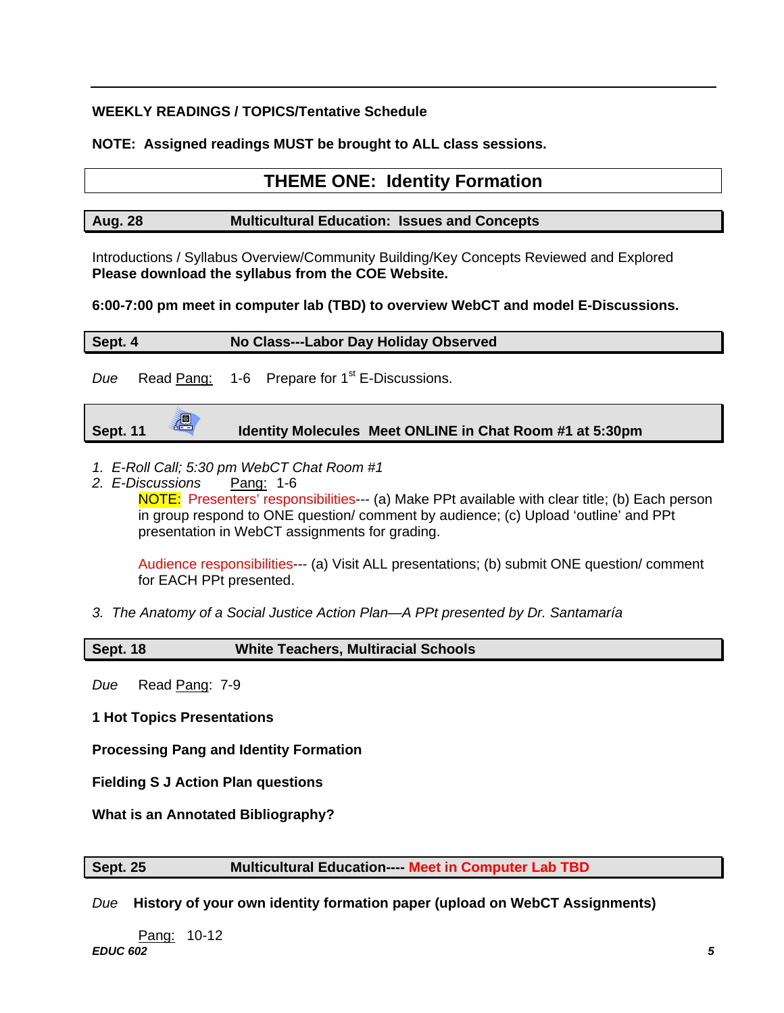### **WEEKLY READINGS / TOPICS/Tentative Schedule**

**NOTE: Assigned readings MUST be brought to ALL class sessions.** 

# **THEME ONE: Identity Formation**

| <b>Aug. 28</b> | <b>Multicultural Education: Issues and Concepts</b> |  |
|----------------|-----------------------------------------------------|--|
|                |                                                     |  |

Introductions / Syllabus Overview/Community Building/Key Concepts Reviewed and Explored **Please download the syllabus from the COE Website.** 

**6:00-7:00 pm meet in computer lab (TBD) to overview WebCT and model E-Discussions.** 

| No Class---Labor Day Holiday Observed<br>Sept. 4 |  |  |                                                           |
|--------------------------------------------------|--|--|-----------------------------------------------------------|
| Due                                              |  |  | Read Pang: 1-6 Prepare for 1 <sup>st</sup> E-Discussions. |

|                 | 週 |                                                          |  |
|-----------------|---|----------------------------------------------------------|--|
| <b>Sept. 11</b> |   | Identity Molecules Meet ONLINE in Chat Room #1 at 5:30pm |  |
|                 |   |                                                          |  |

- *1. E-Roll Call; 5:30 pm WebCT Chat Room #1*
- *2. E-Discussions* Pang: 1-6 NOTE: Presenters' responsibilities--- (a) Make PPt available with clear title; (b) Each person in group respond to ONE question/ comment by audience; (c) Upload 'outline' and PPt presentation in WebCT assignments for grading.

Audience responsibilities--- (a) Visit ALL presentations; (b) submit ONE question/ comment for EACH PPt presented.

*3. The Anatomy of a Social Justice Action Plan—A PPt presented by Dr. Santamaría* 

### **Sept. 18 White Teachers, Multiracial Schools**

*Due* Read Pang: 7-9

**1 Hot Topics Presentations** 

**Processing Pang and Identity Formation** 

**Fielding S J Action Plan questions** 

**What is an Annotated Bibliography?** 

**Sept. 25 Multicultural Education---- Meet in Computer Lab TBD**

*Due* **History of your own identity formation paper (upload on WebCT Assignments)** 

*EDUC 602 5* <u>Pang:</u> 10-12<br>**EDUC 602**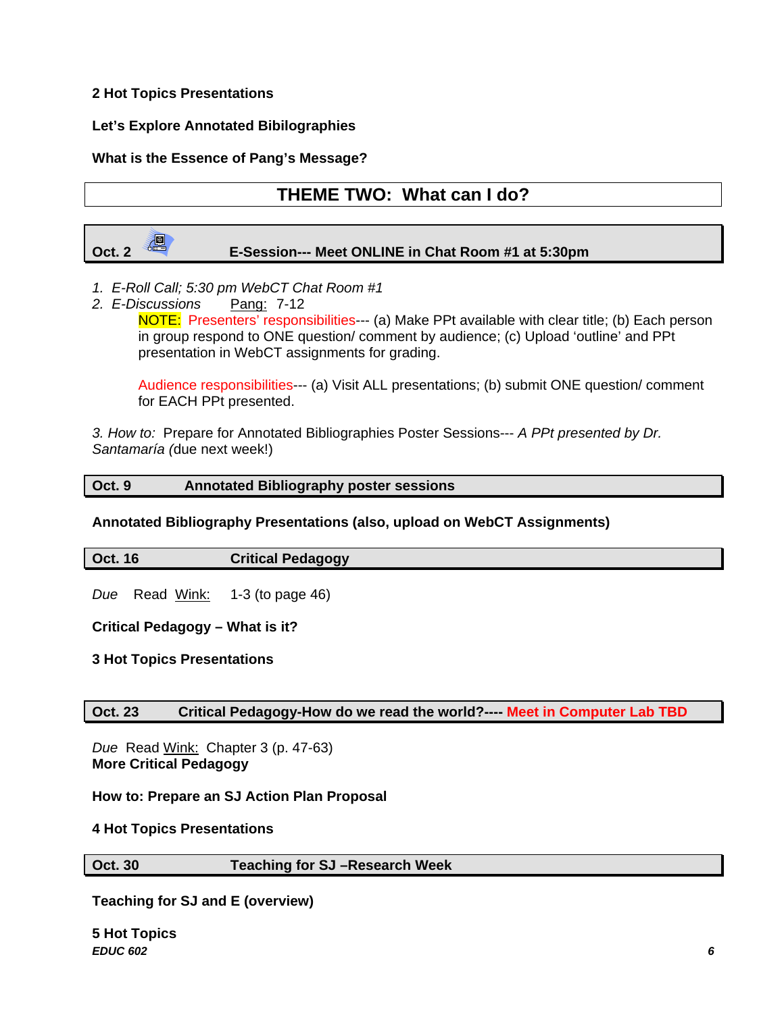### **2 Hot Topics Presentations**

### **Let's Explore Annotated Bibilographies**

### **What is the Essence of Pang's Message?**

# **THEME TWO: What can I do?**



- *1. E-Roll Call; 5:30 pm WebCT Chat Room #1*
- *2. E-Discussions* Pang: 7-12 NOTE: Presenters' responsibilities--- (a) Make PPt available with clear title; (b) Each person in group respond to ONE question/ comment by audience; (c) Upload 'outline' and PPt presentation in WebCT assignments for grading.

Audience responsibilities--- (a) Visit ALL presentations; (b) submit ONE question/ comment for EACH PPt presented.

*3. How to:* Prepare for Annotated Bibliographies Poster Sessions--- *A PPt presented by Dr. Santamaría (*due next week!)

### **Oct. 9 Annotated Bibliography poster sessions**

### **Annotated Bibliography Presentations (also, upload on WebCT Assignments)**

| <b>Oct. 16</b> | <b>Critical Pedagogy</b> |
|----------------|--------------------------|
|                |                          |

*Due* Read Wink: 1-3 (to page 46)

**Critical Pedagogy – What is it?** 

**3 Hot Topics Presentations** 

### **Oct. 23 Critical Pedagogy-How do we read the world?---- Meet in Computer Lab TBD**

*Due* Read Wink: Chapter 3 (p. 47-63) **More Critical Pedagogy** 

**How to: Prepare an SJ Action Plan Proposal** 

**4 Hot Topics Presentations** 

### **Oct. 30 Teaching for SJ –Research Week**

**Teaching for SJ and E (overview)** 

*EDUC 602 6* **5 Hot Topics**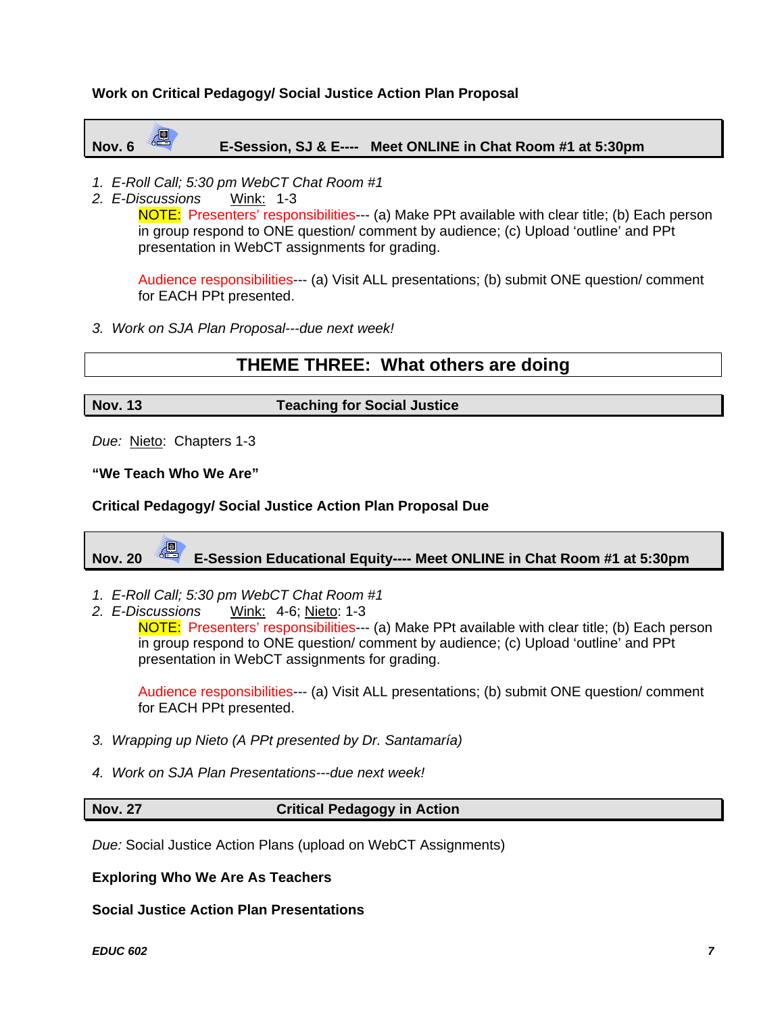### **Work on Critical Pedagogy/ Social Justice Action Plan Proposal**

# **Nov. 6 E-Session, SJ & E---- Meet ONLINE in Chat Room #1 at 5:30pm**

- *1. E-Roll Call; 5:30 pm WebCT Chat Room #1*
- *2. E-Discussions* Wink: 1-3

NOTE: Presenters' responsibilities--- (a) Make PPt available with clear title; (b) Each person in group respond to ONE question/ comment by audience; (c) Upload 'outline' and PPt presentation in WebCT assignments for grading.

Audience responsibilities--- (a) Visit ALL presentations; (b) submit ONE question/ comment for EACH PPt presented.

*3. Work on SJA Plan Proposal---due next week!* 

# **THEME THREE: What others are doing**

### **Nov. 13 Teaching for Social Justice**

*Due:* Nieto: Chapters 1-3

**"We Teach Who We Are"** 

### **Critical Pedagogy/ Social Justice Action Plan Proposal Due**

**Nov. 20 E-Session Educational Equity---- Meet ONLINE in Chat Room #1 at 5:30pm** 

- *1. E-Roll Call; 5:30 pm WebCT Chat Room #1*
- *2. E-Discussions* Wink: 4-6; Nieto: 1-3

NOTE: Presenters' responsibilities--- (a) Make PPt available with clear title; (b) Each person in group respond to ONE question/ comment by audience; (c) Upload 'outline' and PPt presentation in WebCT assignments for grading.

Audience responsibilities--- (a) Visit ALL presentations; (b) submit ONE question/ comment for EACH PPt presented.

- *3. Wrapping up Nieto (A PPt presented by Dr. Santamaría)*
- *4. Work on SJA Plan Presentations---due next week!*

### **Nov. 27** Critical Pedagogy in Action

*Due:* Social Justice Action Plans (upload on WebCT Assignments)

**Exploring Who We Are As Teachers** 

**Social Justice Action Plan Presentations** 

*EDUC 602 7*